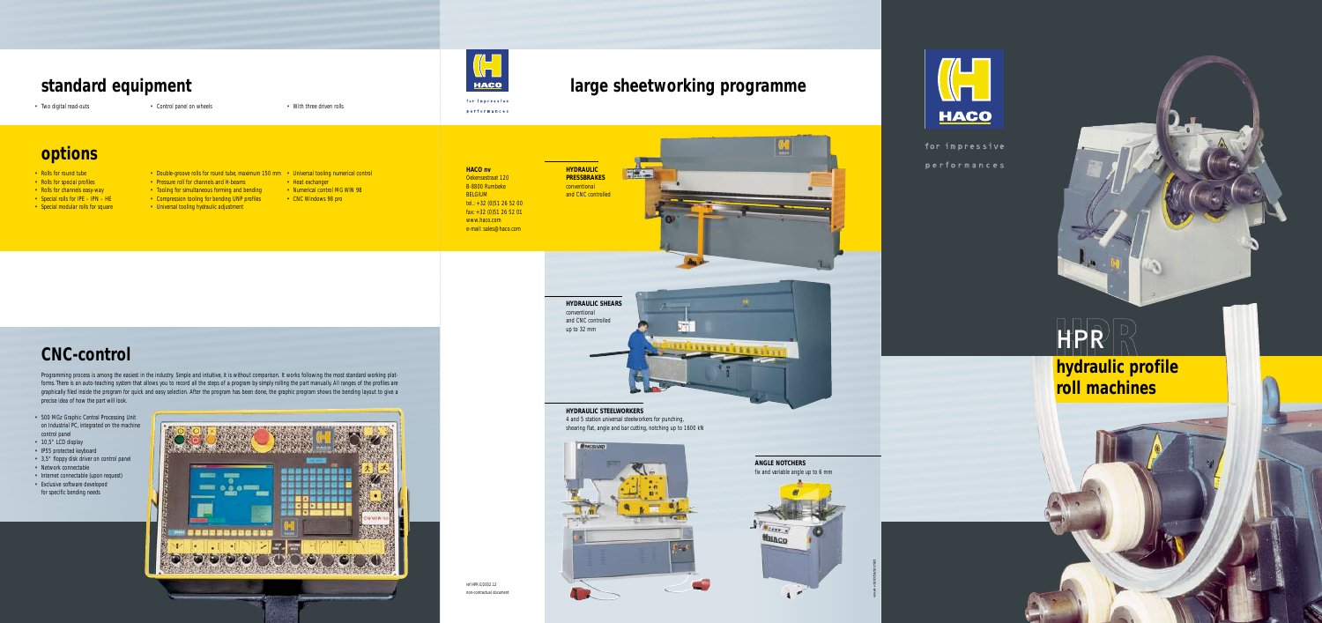visual +32 (0)51/322 921

**HYDRAULIC PRESSBRAKES** conventional and CNC controlled





for impressive performances



#### **HYDRAULIC STEELWORKERS** 4 and 5 station universal steelworkers for punching, shearing flat, angle and bar cutting, notching up to 1600 kN



## **large sheetworking programme**

**HACO nv**

 $\left(\begin{matrix} 1\\ 1\\ 1\\ \end{matrix}\right)$ 

**HACO** 

for impressive performances

Oekensestraat 120 B-8800 Rumbeke BELGIUM tel.: +32 (0)51 26 52 00 fax: +32 (0)51 26 52 01 www.haco.com e-mail: sales@haco.com

ref HPR E/2002.12 non-contractual document

![](_page_0_Picture_39.jpeg)

![](_page_0_Picture_40.jpeg)

# **options**

- Rolls for round tube
- Rolls for special profiles
- Rolls for channels easy-way
- Special rolls for IPE IPN HE
- Special modular rolls for square
- Pressure roll for channels and H-beams • Heat exchanger
- Tooling for simultaneous forming and bending • Numerical control MG WIN 98
- Compression tooling for bending UNP profiles
- Universal tooling hydraulic adjustment
- Double-groove rolls for round tube, maximum 150 mm Universal tooling numerical control
	-
	- CNC Windows 98 pro
	-

- 500 MGz Graphic Central Processing Unit on Industrial PC, integrated on the machine control panel
- 10,5" LCD display
- IP55 protected keyboard
- 3,5" floppy disk driver on control panel
- Network connectable
- Internet connectable (upon request) • Exclusive software developed for specific bending needs

![](_page_0_Picture_35.jpeg)

![](_page_0_Picture_36.jpeg)

![](_page_0_Picture_38.jpeg)

Programming process is among the easiest in the industry. Simple and intuitive, it is without comparison. It works following the most standard working platforms. There is an auto-teaching system that allows you to record all the steps of a program by simply rolling the part manually. All ranges of the profiles are graphically filed inside the program for quick and easy selection. After the program has been done, the graphic program shows the bending layout to give a precise idea of how the part will look.

# **CNC-control**

## **standard equipment**

• Two digital read-outs • Control panel on wheels • Two digital read-outs

**hydraulic profile roll machines**

# HPR